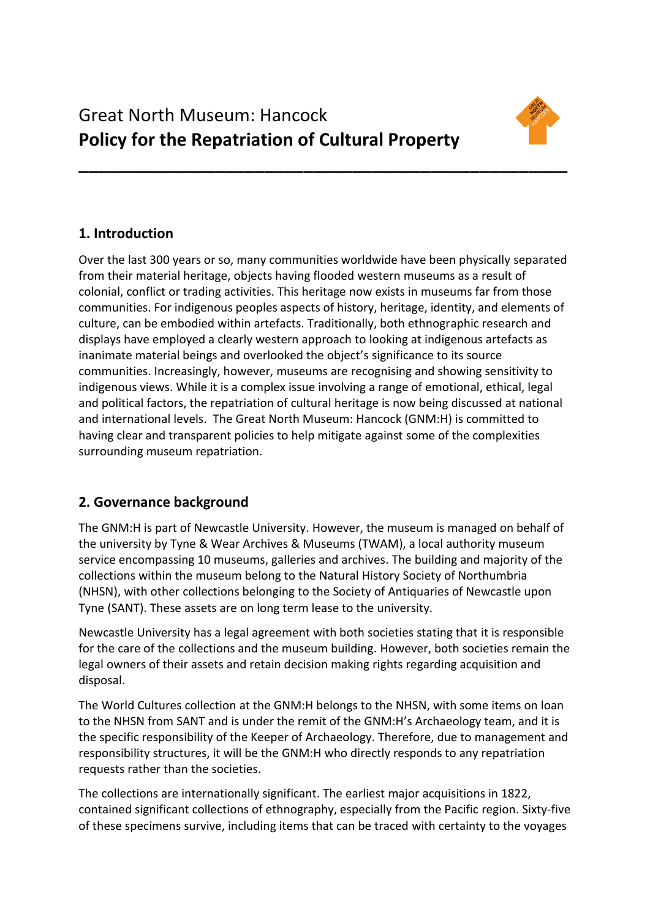

# **1. Introduction**

Over the last 300 years or so, many communities worldwide have been physically separated from their material heritage, objects having flooded western museums as a result of colonial, conflict or trading activities. This heritage now exists in museums far from those communities. For indigenous peoples aspects of history, heritage, identity, and elements of culture, can be embodied within artefacts. Traditionally, both ethnographic research and displays have employed a clearly western approach to looking at indigenous artefacts as inanimate material beings and overlooked the object's significance to its source communities. Increasingly, however, museums are recognising and showing sensitivity to indigenous views. While it is a complex issue involving a range of emotional, ethical, legal and political factors, the repatriation of cultural heritage is now being discussed at national and international levels. The Great North Museum: Hancock (GNM:H) is committed to having clear and transparent policies to help mitigate against some of the complexities surrounding museum repatriation.

**\_\_\_\_\_\_\_\_\_\_\_\_\_\_\_\_\_\_\_\_\_\_\_\_\_\_\_\_\_\_\_\_\_\_\_\_\_\_\_\_\_\_\_\_\_\_\_\_\_\_** 

# **2. Governance background**

The GNM:H is part of Newcastle University. However, the museum is managed on behalf of the university by Tyne & Wear Archives & Museums (TWAM), a local authority museum service encompassing 10 museums, galleries and archives. The building and majority of the collections within the museum belong to the Natural History Society of Northumbria (NHSN), with other collections belonging to the Society of Antiquaries of Newcastle upon Tyne (SANT). These assets are on long term lease to the university.

Newcastle University has a legal agreement with both societies stating that it is responsible for the care of the collections and the museum building. However, both societies remain the legal owners of their assets and retain decision making rights regarding acquisition and disposal.

The World Cultures collection at the GNM:H belongs to the NHSN, with some items on loan to the NHSN from SANT and is under the remit of the GNM:H's Archaeology team, and it is the specific responsibility of the Keeper of Archaeology. Therefore, due to management and responsibility structures, it will be the GNM:H who directly responds to any repatriation requests rather than the societies.

The collections are internationally significant. The earliest major acquisitions in 1822, contained significant collections of ethnography, especially from the Pacific region. Sixty-five of these specimens survive, including items that can be traced with certainty to the voyages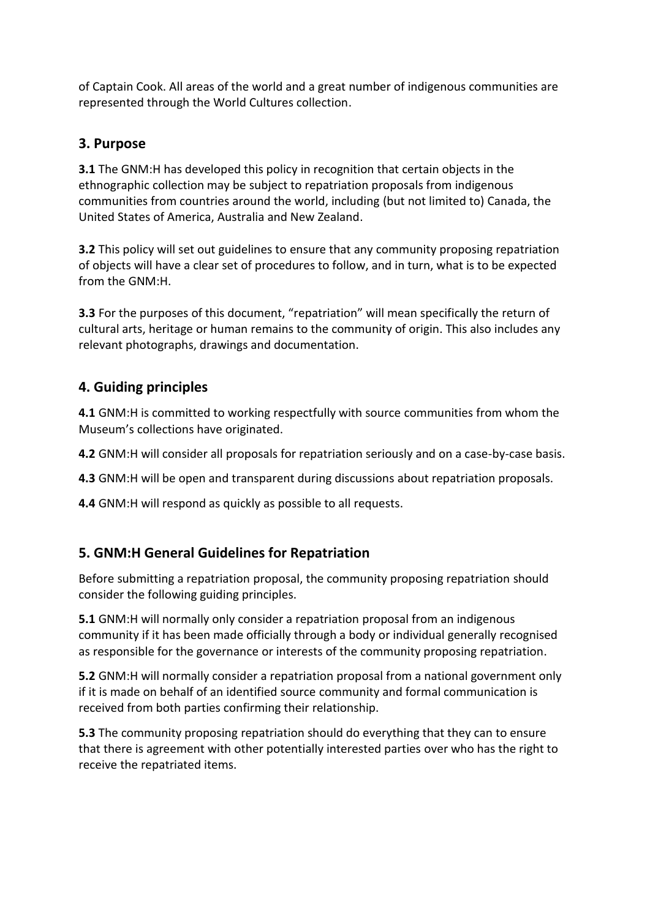of Captain Cook. All areas of the world and a great number of indigenous communities are represented through the World Cultures collection.

#### **3. Purpose**

**3.1** The GNM:H has developed this policy in recognition that certain objects in the ethnographic collection may be subject to repatriation proposals from indigenous communities from countries around the world, including (but not limited to) Canada, the United States of America, Australia and New Zealand.

**3.2** This policy will set out guidelines to ensure that any community proposing repatriation of objects will have a clear set of procedures to follow, and in turn, what is to be expected from the GNM:H.

**3.3** For the purposes of this document, "repatriation" will mean specifically the return of cultural arts, heritage or human remains to the community of origin. This also includes any relevant photographs, drawings and documentation.

## **4. Guiding principles**

**4.1** GNM:H is committed to working respectfully with source communities from whom the Museum's collections have originated.

**4.2** GNM:H will consider all proposals for repatriation seriously and on a case-by-case basis.

**4.3** GNM:H will be open and transparent during discussions about repatriation proposals.

**4.4** GNM:H will respond as quickly as possible to all requests.

# **5. GNM:H General Guidelines for Repatriation**

Before submitting a repatriation proposal, the community proposing repatriation should consider the following guiding principles.

**5.1** GNM:H will normally only consider a repatriation proposal from an indigenous community if it has been made officially through a body or individual generally recognised as responsible for the governance or interests of the community proposing repatriation.

**5.2** GNM:H will normally consider a repatriation proposal from a national government only if it is made on behalf of an identified source community and formal communication is received from both parties confirming their relationship.

**5.3** The community proposing repatriation should do everything that they can to ensure that there is agreement with other potentially interested parties over who has the right to receive the repatriated items.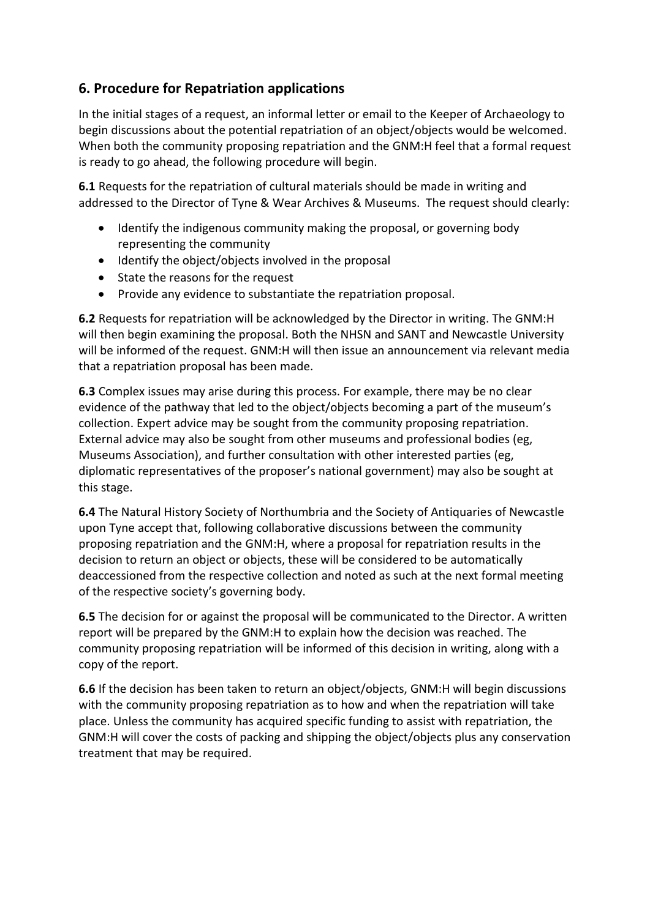## **6. Procedure for Repatriation applications**

In the initial stages of a request, an informal letter or email to the Keeper of Archaeology to begin discussions about the potential repatriation of an object/objects would be welcomed. When both the community proposing repatriation and the GNM:H feel that a formal request is ready to go ahead, the following procedure will begin.

**6.1** Requests for the repatriation of cultural materials should be made in writing and addressed to the Director of Tyne & Wear Archives & Museums. The request should clearly:

- Identify the indigenous community making the proposal, or governing body representing the community
- Identify the object/objects involved in the proposal
- State the reasons for the request
- Provide any evidence to substantiate the repatriation proposal.

**6.2** Requests for repatriation will be acknowledged by the Director in writing. The GNM:H will then begin examining the proposal. Both the NHSN and SANT and Newcastle University will be informed of the request. GNM:H will then issue an announcement via relevant media that a repatriation proposal has been made.

**6.3** Complex issues may arise during this process. For example, there may be no clear evidence of the pathway that led to the object/objects becoming a part of the museum's collection. Expert advice may be sought from the community proposing repatriation. External advice may also be sought from other museums and professional bodies (eg, Museums Association), and further consultation with other interested parties (eg, diplomatic representatives of the proposer's national government) may also be sought at this stage.

**6.4** The Natural History Society of Northumbria and the Society of Antiquaries of Newcastle upon Tyne accept that, following collaborative discussions between the community proposing repatriation and the GNM:H, where a proposal for repatriation results in the decision to return an object or objects, these will be considered to be automatically deaccessioned from the respective collection and noted as such at the next formal meeting of the respective society's governing body.

**6.5** The decision for or against the proposal will be communicated to the Director. A written report will be prepared by the GNM:H to explain how the decision was reached. The community proposing repatriation will be informed of this decision in writing, along with a copy of the report.

**6.6** If the decision has been taken to return an object/objects, GNM:H will begin discussions with the community proposing repatriation as to how and when the repatriation will take place. Unless the community has acquired specific funding to assist with repatriation, the GNM:H will cover the costs of packing and shipping the object/objects plus any conservation treatment that may be required.